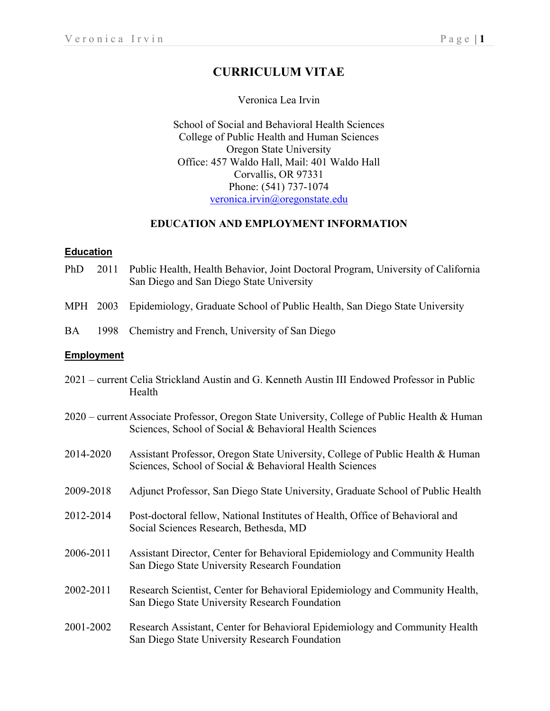# **CURRICULUM VITAE**

### Veronica Lea Irvin

School of Social and Behavioral Health Sciences College of Public Health and Human Sciences Oregon State University Office: 457 Waldo Hall, Mail: 401 Waldo Hall Corvallis, OR 97331 Phone: (541) 737-1074 veronica.irvin@oregonstate.edu

### **EDUCATION AND EMPLOYMENT INFORMATION**

#### **Education**

- PhD 2011 Public Health, Health Behavior, Joint Doctoral Program, University of California San Diego and San Diego State University
- MPH 2003 Epidemiology, Graduate School of Public Health, San Diego State University
- BA 1998 Chemistry and French, University of San Diego

#### **Employment**

- 2021 current Celia Strickland Austin and G. Kenneth Austin III Endowed Professor in Public Health
- 2020 current Associate Professor, Oregon State University, College of Public Health & Human Sciences, School of Social & Behavioral Health Sciences
- 2014-2020 Assistant Professor, Oregon State University, College of Public Health & Human Sciences, School of Social & Behavioral Health Sciences
- 2009-2018 Adjunct Professor, San Diego State University, Graduate School of Public Health
- 2012-2014 Post-doctoral fellow, National Institutes of Health, Office of Behavioral and Social Sciences Research, Bethesda, MD
- 2006-2011 Assistant Director, Center for Behavioral Epidemiology and Community Health San Diego State University Research Foundation
- 2002-2011 Research Scientist, Center for Behavioral Epidemiology and Community Health, San Diego State University Research Foundation
- 2001-2002 Research Assistant, Center for Behavioral Epidemiology and Community Health San Diego State University Research Foundation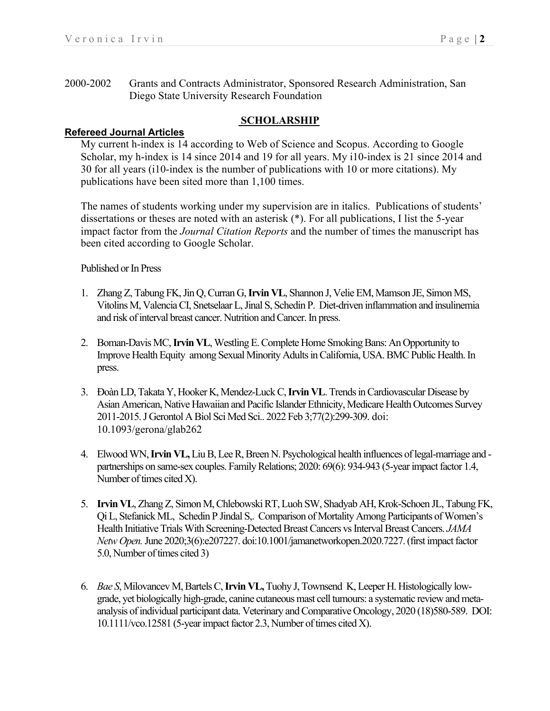2000-2002 Grants and Contracts Administrator, Sponsored Research Administration, San Diego State University Research Foundation

### **SCHOLARSHIP**

### **Refereed Journal Articles**

My current h-index is 14 according to Web of Science and Scopus. According to Google Scholar, my h-index is 14 since 2014 and 19 for all years. My i10-index is 21 since 2014 and 30 for all years (i10-index is the number of publications with 10 or more citations). My publications have been sited more than 1,100 times.

The names of students working under my supervision are in italics. Publications of students' dissertations or theses are noted with an asterisk (\*). For all publications, I list the 5-year impact factor from the *Journal Citation Reports* and the number of times the manuscript has been cited according to Google Scholar.

### Published or In Press

- 1. Zhang Z, Tabung FK, Jin Q, Curran G,**Irvin VL**, Shannon J, Velie EM, Mamson JE, Simon MS, Vitolins M, Valencia CI, Snetselaar L, Jinal S, Schedin P. Diet-driven inflammation and insulinemia and risk of interval breast cancer. Nutrition and Cancer. In press.
- 2. Boman-Davis MC, **Irvin VL**, Westling E. Complete Home Smoking Bans: An Opportunity to Improve Health Equity among Sexual Minority Adults in California, USA. BMC Public Health. In press.
- 3. Đoàn LD, Takata Y, Hooker K, Mendez-Luck C, **Irvin VL**. Trends in Cardiovascular Disease by Asian American, Native Hawaiian and Pacific Islander Ethnicity, Medicare Health Outcomes Survey 2011-2015. J Gerontol A Biol Sci Med Sci.. 2022 Feb 3;77(2):299-309. doi: 10.1093/gerona/glab262
- 4. Elwood WN, **Irvin VL,**Liu B, Lee R, Breen N. Psychological health influences of legal-marriage and partnerships on same-sex couples. Family Relations; 2020: 69(6): 934-943 (5-year impact factor 1.4, Number of times cited X).
- 5. **Irvin VL**, Zhang Z, Simon M, Chlebowski RT, Luoh SW, Shadyab AH, Krok-Schoen JL, Tabung FK, Qi L, Stefanick ML, Schedin P Jindal S,. Comparison of Mortality Among Participants of Women's Health Initiative Trials With Screening-Detected Breast Cancers vs Interval Breast Cancers. *JAMA Netw Open.*June 2020;3(6):e207227. doi:10.1001/jamanetworkopen.2020.7227. (first impact factor 5.0, Number of times cited 3)
- 6. *Bae S*, Milovancev M, Bartels C, **Irvin VL,**Tuohy J, Townsend K, Leeper H. Histologically lowgrade, yet biologically high-grade, canine cutaneous mast cell tumours: a systematic review and metaanalysis of individual participant data. Veterinary and Comparative Oncology, 2020 (18)580-589. DOI: 10.1111/vco.12581 (5-year impact factor 2.3, Number of times cited X).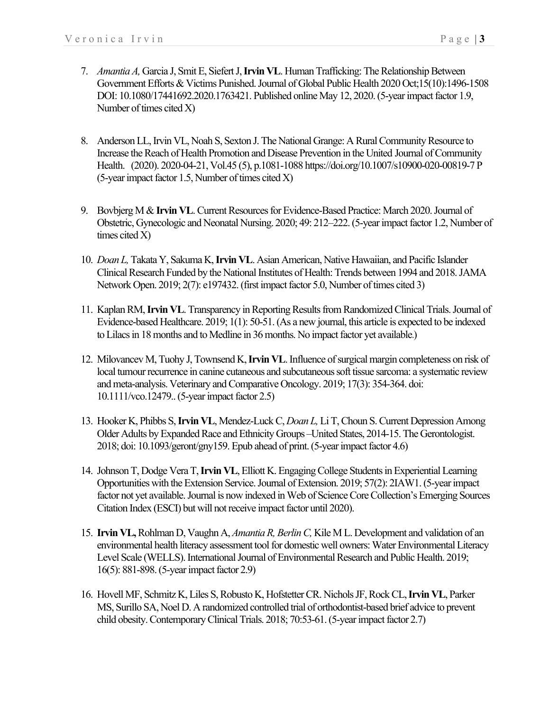- 7. *Amantia A,* Garcia J, Smit E, Siefert J, **Irvin VL**. Human Trafficking: The Relationship Between Government Efforts & Victims Punished. Journal of Global Public Health 2020 Oct;15(10):1496-1508 DOI: 10.1080/17441692.2020.1763421. Published online May 12, 2020.(5-year impact factor 1.9, Number of times cited X)
- 8. Anderson LL, Irvin VL, Noah S, Sexton J. The National Grange: A Rural Community Resource to Increase the Reach of Health Promotion and Disease Prevention in the United Journal of Community Health. (2020). 2020-04-21, Vol.45 (5), p.1081-1088 https://doi.org/10.1007/s10900-020-00819-7 P  $(5$ -year impact factor 1.5, Number of times cited X)
- 9. Bovbjerg M & **Irvin VL**. Current Resources for Evidence-Based Practice: March 2020. Journal of Obstetric, Gynecologic and Neonatal Nursing. 2020; 49: 212–222.(5-year impact factor 1.2, Number of times cited  $X$ )
- 10. *Doan L,*Takata Y, Sakuma K, **Irvin VL**. Asian American, Native Hawaiian, and Pacific Islander Clinical Research Funded by the National Institutes of Health: Trends between 1994 and 2018. JAMA Network Open. 2019; 2(7): e197432. (first impact factor 5.0, Number of times cited 3)
- 11. Kaplan RM,**Irvin VL**. Transparency in Reporting Results from Randomized Clinical Trials. Journal of Evidence-based Healthcare. 2019; 1(1): 50-51. (As a new journal, this article is expected to be indexed to Lilacs in 18 months and to Medline in 36 months. No impact factor yet available.)
- 12. Milovancev M, Tuohy J, Townsend K, **Irvin VL**. Influence of surgical margin completeness on risk of local tumour recurrence in canine cutaneous and subcutaneous soft tissue sarcoma: a systematic review and meta-analysis. Veterinary and Comparative Oncology. 2019; 17(3): 354-364. doi: 10.1111/vco.12479.. (5-year impact factor 2.5)
- 13. Hooker K, Phibbs S, **Irvin VL**, Mendez-Luck C, *Doan L,*Li T, Choun S. Current Depression Among Older Adults by Expanded Race and Ethnicity Groups –United States, 2014-15. The Gerontologist. 2018; doi: 10.1093/geront/gny159. Epub ahead of print.(5-year impact factor 4.6)
- 14. Johnson T, Dodge Vera T, **Irvin VL**, Elliott K. Engaging College Students in Experiential Learning Opportunities with the Extension Service. Journal of Extension. 2019; 57(2): 2IAW1.(5-year impact factor not yet available. Journal is now indexed in Web of Science Core Collection's Emerging Sources Citation Index (ESCI) but will not receive impact factor until 2020).
- 15. **Irvin VL,** Rohlman D, Vaughn A, *Amantia R, Berlin C, Kile M L. Development and validation of an* environmental health literacy assessment tool for domestic well owners: Water Environmental Literacy Level Scale (WELLS). International Journal of Environmental Research and Public Health. 2019; 16(5): 881-898.(5-year impact factor 2.9)
- 16. Hovell MF, Schmitz K, Liles S, Robusto K, Hofstetter CR. Nichols JF, Rock CL, **Irvin VL**, Parker MS, Surillo SA, Noel D. A randomized controlled trial of orthodontist-based brief advice to prevent child obesity. Contemporary Clinical Trials. 2018; 70:53-61.(5-year impact factor 2.7)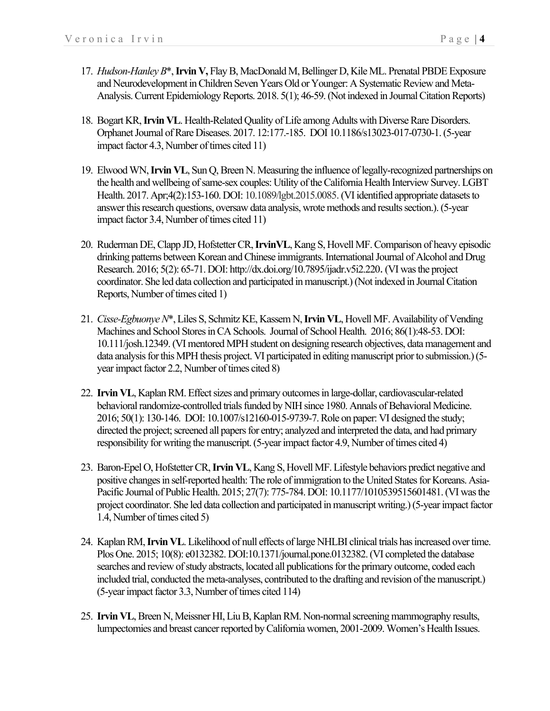- 17. *Hudson-Hanley B*\*, **Irvin V,** Flay B, MacDonald M, Bellinger D, Kile ML. Prenatal PBDE Exposure and Neurodevelopment in Children Seven Years Old or Younger: A Systematic Review and Meta-Analysis. Current Epidemiology Reports. 2018. 5(1); 46-59. (Not indexed in Journal Citation Reports)
- 18. Bogart KR, **Irvin VL**. Health-Related Quality of Life among Adults with Diverse Rare Disorders. Orphanet Journal of Rare Diseases. 2017. 12:177.-185. DOI 10.1186/s13023-017-0730-1. (5-year impact factor 4.3, Number of times cited 11)
- 19. Elwood WN, **Irvin VL**, Sun Q, Breen N. Measuring the influence of legally-recognized partnerships on the health and wellbeing of same-sex couples: Utility of the California Health Interview Survey. LGBT Health. 2017. Apr;4(2):153-160. DOI: 10.1089/lgbt.2015.0085.(VI identified appropriate datasets to answer this research questions, oversaw data analysis, wrote methods and results section.). (5-year impact factor 3.4, Number of times cited 11)
- 20. Ruderman DE, Clapp JD, Hofstetter CR, **IrvinVL**, Kang S, Hovell MF. Comparison of heavy episodic drinking patterns between Korean and Chinese immigrants. International Journal of Alcohol and Drug Research. 2016; 5(2): 65-71. DOI: http://dx.doi.org/10.7895/ijadr.v5i2.220.(VI was the project coordinator. She led data collection and participated in manuscript.)(Not indexed in Journal Citation Reports, Number of times cited 1)
- 21. *Cisse-Egbuonye N*\*, Liles S, Schmitz KE, Kassem N, **Irvin VL**, Hovell MF. Availability of Vending Machines and School Stores in CA Schools. Journal of School Health. 2016; 86(1):48-53. DOI: 10.111/josh.12349. (VI mentored MPH student on designing research objectives, data management and data analysis for this MPH thesis project. VI participated in editing manuscript prior to submission.) (5 year impact factor 2.2, Number of times cited 8)
- 22. **Irvin VL**, Kaplan RM. Effect sizes and primary outcomes in large-dollar, cardiovascular-related behavioral randomize-controlled trials funded by NIH since 1980. Annals of Behavioral Medicine. 2016; 50(1): 130-146. DOI: 10.1007/s12160-015-9739-7. Role on paper: VI designed the study; directed the project; screened all papers for entry; analyzed and interpreted the data, and had primary responsibility for writing the manuscript.(5-year impact factor 4.9, Number of times cited 4)
- 23. Baron-Epel O, Hofstetter CR, **Irvin VL**, Kang S, Hovell MF. Lifestyle behaviors predict negative and positive changes in self-reported health: The role of immigration to the United States for Koreans. Asia-Pacific Journal of Public Health. 2015; 27(7): 775-784. DOI: 10.1177/1010539515601481. (VI was the project coordinator. She led data collection and participated in manuscript writing.)(5-year impact factor 1.4, Number of times cited 5)
- 24. Kaplan RM, **Irvin VL**.Likelihood of null effects of large NHLBI clinical trials has increased over time. Plos One. 2015; 10(8): e0132382. DOI:10.1371/journal.pone.0132382. (VI completed the database searches and review of study abstracts, located all publications for the primary outcome, coded each included trial, conducted the meta-analyses, contributed to the drafting and revision of the manuscript.) (5-year impact factor 3.3, Number of times cited 114)
- 25. **Irvin VL**, Breen N, Meissner HI, Liu B, Kaplan RM. Non-normal screening mammography results, lumpectomies and breast cancer reported by California women, 2001-2009. Women's Health Issues.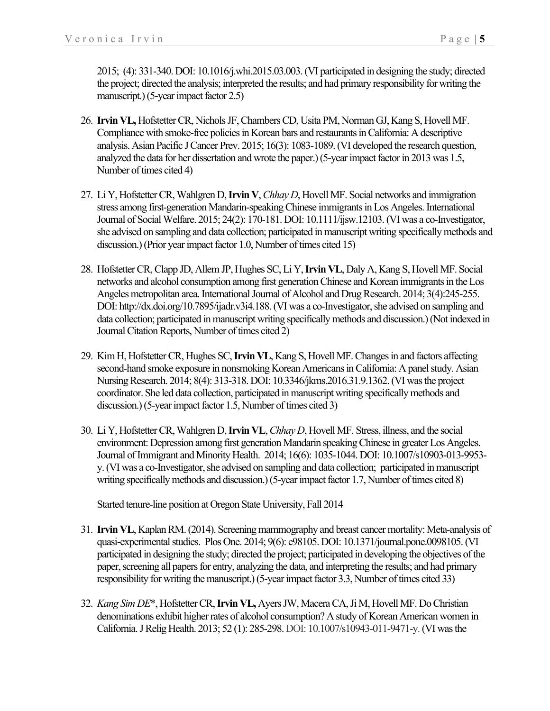2015; (4): 331-340. DOI: 10.1016/j.whi.2015.03.003. (VI participated in designing the study; directed the project; directed the analysis; interpreted the results; and had primary responsibility for writing the manuscript.)(5-year impact factor 2.5)

- 26. **Irvin VL,** Hofstetter CR, Nichols JF, Chambers CD, Usita PM, Norman GJ, Kang S, Hovell MF. Compliance with smoke-free policies in Korean bars and restaurants in California: A descriptive analysis. Asian Pacific J Cancer Prev. 2015; 16(3): 1083-1089. (VI developed the research question, analyzed the data for her dissertation and wrote the paper.)(5-year impact factor in 2013 was 1.5, Number of times cited 4)
- 27. Li Y, Hofstetter CR, Wahlgren D, **Irvin V**, *Chhay D*, Hovell MF. Social networks and immigration stress among first-generation Mandarin-speaking Chinese immigrants in Los Angeles. International Journal of Social Welfare. 2015; 24(2): 170-181. DOI: 10.1111/ijsw.12103. (VI was a co-Investigator, she advised on sampling and data collection; participated in manuscript writing specifically methods and discussion.)(Prior year impact factor 1.0, Number of times cited 15)
- 28. Hofstetter CR, Clapp JD, Allem JP, Hughes SC, Li Y, **Irvin VL**, Daly A, Kang S, Hovell MF. Social networks and alcohol consumption among first generation Chinese and Korean immigrants in theLos Angeles metropolitan area. International Journal of Alcohol and Drug Research. 2014; 3(4):245-255. DOI: http://dx.doi.org/10.7895/ijadr.v3i4.188.(VI was a co-Investigator, she advised on sampling and data collection; participated in manuscript writing specifically methods and discussion.)(Not indexed in Journal Citation Reports, Number of times cited 2)
- 29. Kim H, Hofstetter CR, Hughes SC, **Irvin VL**, Kang S, Hovell MF. Changes in and factors affecting second-hand smoke exposure in nonsmoking Korean Americans in California: A panel study. Asian Nursing Research. 2014; 8(4): 313-318. DOI: 10.3346/jkms.2016.31.9.1362.(VI was the project coordinator. She led data collection, participated in manuscript writing specifically methods and discussion.)(5-year impact factor 1.5, Number of times cited 3)
- 30. Li Y, Hofstetter CR, Wahlgren D, **Irvin VL**, *Chhay D*, Hovell MF. Stress, illness, and the social environment: Depression among first generation Mandarin speaking Chinese in greater Los Angeles. Journal of Immigrant and Minority Health. 2014; 16(6): 1035-1044. DOI: 10.1007/s10903-013-9953 y. (VI was a co-Investigator, she advised on sampling and data collection; participated in manuscript writing specifically methods and discussion.)(5-year impact factor 1.7, Number of times cited 8)

Started tenure-line position at Oregon State University, Fall 2014

- 31. **Irvin VL**, Kaplan RM.(2014). Screening mammography and breast cancer mortality: Meta-analysis of quasi-experimental studies. Plos One. 2014; 9(6): e98105. DOI: 10.1371/journal.pone.0098105.(VI participated in designing the study; directed the project; participated in developing the objectives of the paper, screening all papers for entry, analyzing the data, and interpreting the results; and had primary responsibility for writing the manuscript.)(5-year impact factor 3.3, Number of times cited 33)
- 32. *Kang Sim DE*\*, Hofstetter CR, **Irvin VL,** Ayers JW, Macera CA, Ji M, Hovell MF. Do Christian denominations exhibit higher rates of alcohol consumption? A study of Korean American women in California. J Relig Health. 2013; 52 (1): 285-298. DOI: 10.1007/s10943-011-9471-y.(VI was the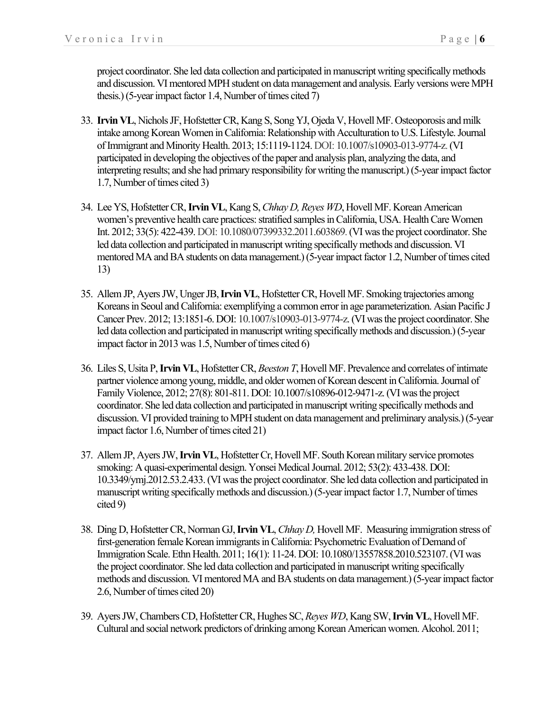project coordinator. She led data collection and participated in manuscript writing specifically methods and discussion. VI mentored MPH student on data management and analysis. Early versions were MPH thesis.)(5-year impact factor 1.4, Number of times cited 7)

- 33. **Irvin VL**, Nichols JF, Hofstetter CR, Kang S, Song YJ, Ojeda V, Hovell MF. Osteoporosis and milk intake among Korean Women in California: Relationship with Acculturation to U.S. Lifestyle. Journal of Immigrant and Minority Health. 2013; 15:1119-1124. DOI: 10.1007/s10903-013-9774-z.(VI participated in developing the objectives of the paper and analysis plan, analyzing the data, and interpreting results; and she had primary responsibility for writing the manuscript.) (5-year impact factor 1.7, Number of times cited 3)
- 34. Lee YS, Hofstetter CR, **Irvin VL**, Kang S, *Chhay D, Reyes WD*, Hovell MF. Korean American women's preventive health care practices: stratified samples in California, USA. Health Care Women Int. 2012; 33(5): 422-439. DOI: 10.1080/07399332.2011.603869.(VI was the project coordinator. She led data collection and participated in manuscript writing specifically methods and discussion. VI mentored MA and BA students on data management.)(5-year impact factor 1.2, Number of times cited 13)
- 35. Allem JP, Ayers JW, Unger JB, **Irvin VL**, Hofstetter CR, Hovell MF. Smoking trajectories among Koreans in Seoul and California: exemplifying a common error in age parameterization. Asian Pacific J Cancer Prev. 2012; 13:1851-6. DOI: 10.1007/s10903-013-9774-z. (VI was the project coordinator. She led data collection and participated in manuscript writing specifically methods and discussion.)(5-year impact factor in 2013 was 1.5, Number of times cited 6)
- 36. Liles S, Usita P, **Irvin VL**, Hofstetter CR, *Beeston T*, Hovell MF. Prevalence and correlates of intimate partner violence among young, middle, and older women of Korean descent in California. Journal of Family Violence, 2012; 27(8): 801-811. DOI: 10.1007/s10896-012-9471-z.(VI was the project coordinator. She led data collection and participated in manuscript writing specifically methods and discussion. VI provided training to MPH student on data management and preliminary analysis.)(5-year impact factor 1.6, Number of times cited 21)
- 37. Allem JP, Ayers JW, **Irvin VL**, Hofstetter Cr, Hovell MF. South Korean military service promotes smoking: A quasi-experimental design. Yonsei Medical Journal. 2012; 53(2): 433-438. DOI: 10.3349/ymj.2012.53.2.433.(VI was the project coordinator. She led data collection and participated in manuscript writing specifically methods and discussion.)(5-year impact factor 1.7, Number of times cited 9)
- 38. Ding D, Hofstetter CR, Norman GJ, **Irvin VL**, *Chhay D,* Hovell MF. Measuring immigration stress of first-generation female Korean immigrants in California: Psychometric Evaluation of Demand of Immigration Scale. Ethn Health. 2011; 16(1): 11-24. DOI: 10.1080/13557858.2010.523107.(VI was the project coordinator. She led data collection and participated in manuscript writing specifically methods and discussion. VI mentored MA and BA students on data management.)(5-year impact factor 2.6, Number of times cited 20)
- 39. Ayers JW, Chambers CD, Hofstetter CR, Hughes SC, *Reyes WD*, Kang SW, **Irvin VL**, Hovell MF. Cultural and social network predictors of drinking among Korean American women. Alcohol. 2011;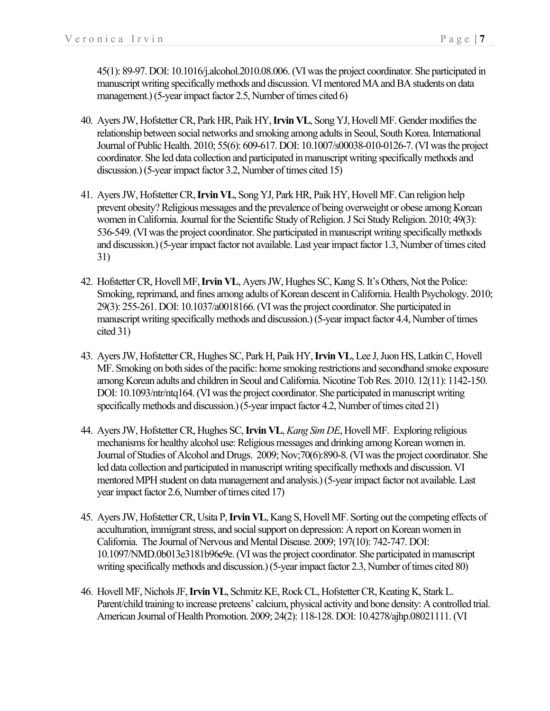45(1): 89-97. DOI: 10.1016/j.alcohol.2010.08.006.(VI was the project coordinator. She participated in manuscript writing specifically methods and discussion. VI mentored MA and BA students on data management.) (5-year impact factor 2.5, Number of times cited 6)

- 40. Ayers JW, Hofstetter CR, Park HR, Paik HY, **Irvin VL**, Song YJ, Hovell MF. Gender modifies the relationship between social networks and smoking among adults in Seoul, South Korea. International Journal of Public Health. 2010; 55(6): 609-617. DOI: 10.1007/s00038-010-0126-7.(VI was the project coordinator. She led data collection and participated in manuscript writing specifically methods and discussion.)(5-year impact factor 3.2, Number of times cited 15)
- 41. Ayers JW, Hofstetter CR, **Irvin VL**, Song YJ, Park HR, Paik HY, Hovell MF. Can religion help prevent obesity? Religious messages and the prevalence of being overweight or obese among Korean women in California. Journal for the Scientific Study of Religion. J Sci Study Religion. 2010; 49(3): 536-549. (VI was the project coordinator. She participated in manuscript writing specifically methods and discussion.)(5-year impact factor not available. Last year impact factor 1.3, Number of times cited 31)
- 42. Hofstetter CR, Hovell MF,**Irvin VL**, Ayers JW, Hughes SC, Kang S. It's Others, Not the Police: Smoking, reprimand, and fines among adults of Korean descent in California. Health Psychology. 2010; 29(3): 255-261. DOI: 10.1037/a0018166. (VI was the project coordinator. She participated in manuscript writing specifically methods and discussion.)(5-year impact factor 4.4, Number of times cited 31)
- 43. Ayers JW, Hofstetter CR, Hughes SC, Park H, Paik HY, **Irvin VL**, Lee J, Juon HS, Latkin C, Hovell MF. Smoking on both sides of the pacific: home smoking restrictions and secondhand smoke exposure among Korean adults and children in Seoul and California. Nicotine Tob Res. 2010. 12(11): 1142-150. DOI: 10.1093/ntr/ntq164. (VI was the project coordinator. She participated in manuscript writing specifically methods and discussion.)(5-year impact factor 4.2, Number of times cited 21)
- 44. Ayers JW, Hofstetter CR, Hughes SC, **Irvin VL**, *Kang Sim DE*, Hovell MF. Exploring religious mechanisms for healthy alcohol use: Religious messages and drinking among Korean women in. Journal of Studies of Alcohol and Drugs. 2009; Nov;70(6):890-8. (VI was the project coordinator. She led data collection and participated in manuscript writing specifically methods and discussion. VI mentored MPH student on data management and analysis.)(5-year impact factor not available. Last year impact factor 2.6, Number of times cited 17)
- 45. Ayers JW, Hofstetter CR, Usita P, **Irvin VL**, Kang S, Hovell MF. Sorting out the competing effects of acculturation, immigrant stress, and social support on depression: A report on Korean women in California. The Journal of Nervous and Mental Disease. 2009; 197(10): 742-747. DOI: 10.1097/NMD.0b013e3181b96e9e.(VI was the project coordinator. She participated in manuscript writing specifically methods and discussion.)(5-year impact factor 2.3, Number of times cited 80)
- 46. Hovell MF, Nichols JF, **Irvin VL**, Schmitz KE, Rock CL, Hofstetter CR, Keating K, Stark L. Parent/child training to increase preteens' calcium, physical activity and bone density: A controlled trial. American Journal of Health Promotion. 2009; 24(2): 118-128. DOI: 10.4278/ajhp.08021111. (VI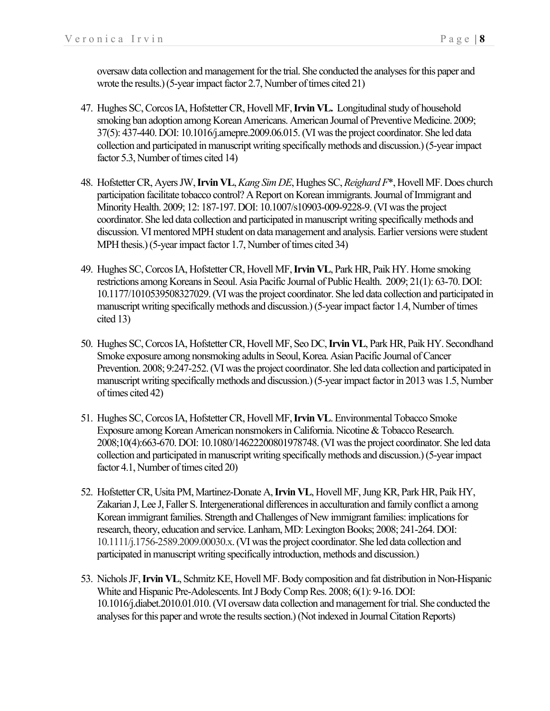oversaw data collection and management for the trial. She conducted the analyses for this paper and wrote the results.)(5-year impact factor 2.7, Number of times cited 21)

- 47. Hughes SC, Corcos IA, Hofstetter CR, Hovell MF, **Irvin VL.** Longitudinal study of household smoking ban adoption among Korean Americans. American Journal of Preventive Medicine. 2009; 37(5): 437-440. DOI: 10.1016/j.amepre.2009.06.015.(VI was the project coordinator. She led data collection and participated in manuscript writing specifically methods and discussion.)(5-year impact factor 5.3, Number of times cited 14)
- 48. Hofstetter CR, Ayers JW, **Irvin VL**, *Kang Sim DE*, Hughes SC, *Reighard F*\*, Hovell MF. Does church participation facilitate tobacco control? A Report on Korean immigrants. Journal of Immigrant and Minority Health. 2009; 12: 187-197. DOI: 10.1007/s10903-009-9228-9. (VI was the project coordinator. She led data collection and participated in manuscript writing specifically methods and discussion. VI mentored MPH student on data management and analysis. Earlier versions were student MPH thesis.)(5-year impact factor 1.7, Number of times cited 34)
- 49. Hughes SC, Corcos IA, Hofstetter CR, Hovell MF, **Irvin VL**, Park HR, Paik HY. Home smoking restrictions among Koreans in Seoul. Asia Pacific Journal of Public Health. 2009; 21(1): 63-70. DOI: 10.1177/1010539508327029.(VI was the project coordinator. She led data collection and participated in manuscript writing specifically methods and discussion.)(5-year impact factor 1.4, Number of times cited 13)
- 50. Hughes SC, Corcos IA, Hofstetter CR, Hovell MF, Seo DC, **Irvin VL**, Park HR, Paik HY. Secondhand Smoke exposure among nonsmoking adults in Seoul, Korea. Asian Pacific Journal of Cancer Prevention. 2008; 9:247-252. (VI was the project coordinator. She led data collection and participated in manuscript writing specifically methods and discussion.)(5-year impact factor in 2013 was 1.5, Number of times cited 42)
- 51. Hughes SC, Corcos IA, Hofstetter CR, Hovell MF,**Irvin VL**. Environmental Tobacco Smoke Exposure among Korean American nonsmokers in California. Nicotine & Tobacco Research. 2008;10(4):663-670. DOI: 10.1080/14622200801978748. (VI was the project coordinator. She led data collection and participated in manuscript writing specifically methods and discussion.)(5-year impact factor 4.1, Number of times cited 20)
- 52. Hofstetter CR, Usita PM, Martinez-Donate A,**Irvin VL**, Hovell MF, Jung KR, Park HR, Paik HY, Zakarian J, Lee J, Faller S. Intergenerational differences in acculturation and family conflict a among Korean immigrant families. Strength and Challenges of New immigrant families: implications for research, theory, education and service. Lanham, MD: Lexington Books; 2008; 241-264. DOI: 10.1111/j.1756-2589.2009.00030.x. (VI was the project coordinator. She led data collection and participated in manuscript writing specifically introduction, methods and discussion.)
- 53. Nichols JF, **Irvin VL**, Schmitz KE, Hovell MF. Body composition and fat distribution in Non-Hispanic White and Hispanic Pre-Adolescents. Int J Body Comp Res. 2008; 6(1): 9-16. DOI: 10.1016/j.diabet.2010.01.010. (VI oversaw data collection and management for trial. She conducted the analyses for this paper and wrote the results section.)(Not indexed in Journal Citation Reports)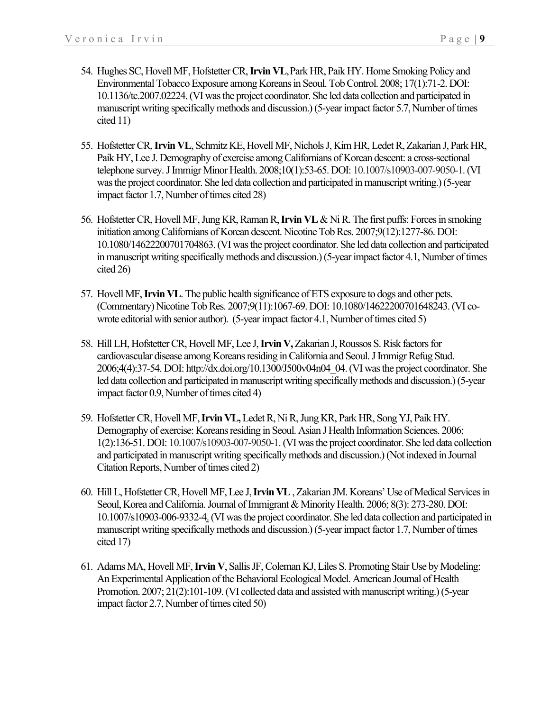- 54. Hughes SC, Hovell MF, Hofstetter CR, **Irvin VL**,Park HR, Paik HY. Home Smoking Policy and Environmental Tobacco Exposure among Koreans in Seoul. Tob Control. 2008; 17(1):71-2. DOI: 10.1136/tc.2007.02224.(VI was the project coordinator. She led data collection and participated in manuscript writing specifically methods and discussion.)(5-year impact factor 5.7, Number of times cited 11)
- 55. Hofstetter CR, **Irvin VL**, Schmitz KE, Hovell MF, Nichols J, Kim HR, Ledet R, Zakarian J, Park HR, Paik HY, Lee J. Demography of exercise among Californians of Korean descent: a cross-sectional telephone survey. J Immigr Minor Health. 2008;10(1):53-65. DOI: 10.1007/s10903-007-9050-1.(VI was the project coordinator. She led data collection and participated in manuscript writing.)(5-year impact factor 1.7, Number of times cited 28)
- 56. Hofstetter CR, Hovell MF, Jung KR, Raman R, **Irvin VL** & Ni R. The first puffs: Forces in smoking initiation among Californians of Korean descent. Nicotine Tob Res. 2007;9(12):1277-86. DOI: 10.1080/14622200701704863.(VI was the project coordinator. She led data collection and participated in manuscript writing specifically methods and discussion.)(5-year impact factor 4.1, Number of times cited 26)
- 57. Hovell MF, **Irvin VL**. The public health significance of ETS exposure to dogs and other pets. (Commentary) Nicotine Tob Res. 2007;9(11):1067-69. DOI: 10.1080/14622200701648243.(VI cowrote editorial with senior author). (5-year impact factor 4.1, Number of times cited 5)
- 58. Hill LH, Hofstetter CR, Hovell MF, Lee J,**Irvin V,**Zakarian J, Roussos S. Risk factors for cardiovascular disease among Koreans residing in California and Seoul. J Immigr Refug Stud. 2006;4(4):37-54. DOI: http://dx.doi.org/10.1300/J500v04n04\_04.(VI was the project coordinator. She led data collection and participated in manuscript writing specifically methods and discussion.) (5-year impact factor 0.9, Number of times cited 4)
- 59. Hofstetter CR, Hovell MF, **Irvin VL,**Ledet R, Ni R, Jung KR, Park HR, Song YJ, Paik HY. Demography of exercise: Koreans residing in Seoul. Asian J Health Information Sciences. 2006; 1(2):136-51. DOI: 10.1007/s10903-007-9050-1.(VI was the project coordinator. She led data collection and participated in manuscript writing specifically methods and discussion.) (Not indexed in Journal Citation Reports, Number of times cited 2)
- 60. Hill L, Hofstetter CR, Hovell MF, Lee J,**Irvin VL**, Zakarian JM. Koreans' Use of Medical Services in Seoul, Korea and California. Journal of Immigrant & Minority Health. 2006; 8(3): 273-280. DOI: 10.1007/s10903-006-9332-4.(VI was the project coordinator. She led data collection and participated in manuscript writing specifically methods and discussion.)(5-year impact factor 1.7, Number of times cited 17)
- 61. Adams MA, Hovell MF, **Irvin V**, Sallis JF, Coleman KJ, Liles S. Promoting Stair Use by Modeling: An Experimental Application of the Behavioral Ecological Model. American Journal of Health Promotion. 2007; 21(2):101-109. (VI collected data and assisted with manuscript writing.) (5-year impact factor 2.7, Number of times cited 50)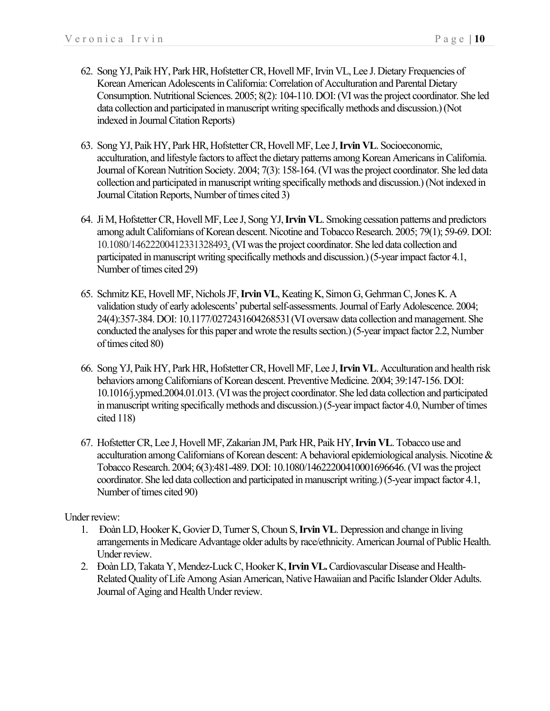- 62. Song YJ, Paik HY, Park HR, Hofstetter CR, Hovell MF, Irvin VL, Lee J. Dietary Frequencies of Korean American Adolescents in California: Correlation of Acculturation and Parental Dietary Consumption. Nutritional Sciences. 2005; 8(2): 104-110. DOI: (VI was the project coordinator. She led data collection and participated in manuscript writing specifically methods and discussion.)(Not indexed in Journal Citation Reports)
- 63. Song YJ, Paik HY, Park HR, Hofstetter CR, Hovell MF, Lee J,**Irvin VL**. Socioeconomic, acculturation, and lifestyle factors to affect the dietary patterns among Korean Americans in California. Journal of Korean Nutrition Society. 2004; 7(3): 158-164. (VI was the project coordinator. She led data collection and participated in manuscript writing specifically methods and discussion.)(Not indexed in Journal Citation Reports, Number of times cited 3)
- 64. Ji M, Hofstetter CR, Hovell MF, Lee J, Song YJ, **Irvin VL**. Smoking cessation patterns and predictors among adult Californians of Korean descent. Nicotine and Tobacco Research. 2005; 79(1); 59-69. DOI: 10.1080/14622200412331328493.(VI was the project coordinator. She led data collection and participated in manuscript writing specifically methods and discussion.)(5-year impact factor 4.1, Number of times cited 29)
- 65. Schmitz KE, Hovell MF, Nichols JF,**Irvin VL**, Keating K, Simon G, Gehrman C, Jones K. A validation study of early adolescents' pubertal self-assessments. Journal of Early Adolescence. 2004; 24(4):357-384. DOI: 10.1177/0272431604268531(VI oversaw data collection and management. She conducted the analyses for this paper and wrote the results section.)(5-year impact factor 2.2, Number of times cited 80)
- 66. Song YJ, Paik HY, Park HR, Hofstetter CR, Hovell MF, Lee J, **Irvin VL**. Acculturation and health risk behaviors among Californians of Korean descent. Preventive Medicine. 2004; 39:147-156. DOI: 10.1016/j.ypmed.2004.01.013.(VI was the project coordinator. She led data collection and participated in manuscript writing specifically methods and discussion.)(5-year impact factor 4.0, Number of times cited 118)
- 67. Hofstetter CR, Lee J, Hovell MF, Zakarian JM, Park HR, Paik HY, **Irvin VL**. Tobacco use and acculturation among Californians of Korean descent: A behavioral epidemiological analysis. Nicotine & Tobacco Research. 2004; 6(3):481-489. DOI: 10.1080/14622200410001696646.(VI was the project coordinator. She led data collection and participated in manuscript writing.)(5-year impact factor 4.1, Number of times cited 90)

#### Under review:

- 1. Đoàn LD, Hooker K, Govier D, Turner S, Choun S, **Irvin VL**. Depression and change in living arrangements in Medicare Advantage older adults by race/ethnicity. American Journal of Public Health. Under review.
- 2. Đoàn LD, Takata Y, Mendez-Luck C, Hooker K, **Irvin VL.**Cardiovascular Disease and Health-Related Quality of Life Among Asian American, Native Hawaiian and Pacific Islander Older Adults. Journal of Aging and Health Under review.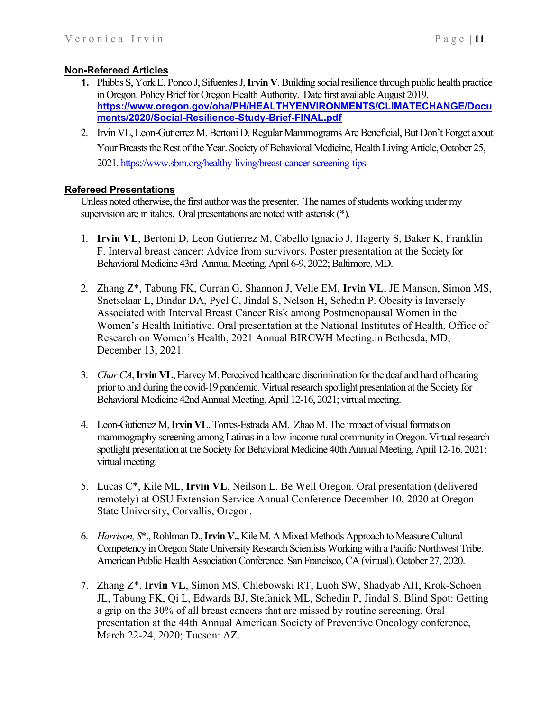# **Non-Refereed Articles**

- **1.** Phibbs S, York E, Ponco J, Sifuentes J, **Irvin V**. Building social resilience through public health practice in Oregon. Policy Brief for Oregon Health Authority. Date first available August 2019. **https://www.oregon.gov/oha/PH/HEALTHYENVIRONMENTS/CLIMATECHANGE/Docu ments/2020/Social-Resilience-Study-Brief-FINAL.pdf**
- 2. Irvin VL, Leon-Gutierrez M, Bertoni D. Regular Mammograms Are Beneficial, But Don't Forget about Your Breasts the Rest of the Year. Society of Behavioral Medicine, Health Living Article, October 25, 2021. https://www.sbm.org/healthy-living/breast-cancer-screening-tips

### **Refereed Presentations**

Unless noted otherwise, the first author was the presenter. The names of students working under my supervision are in italics. Oral presentations are noted with asterisk (\*).

- 1. **Irvin VL**, Bertoni D, Leon Gutierrez M, Cabello Ignacio J, Hagerty S, Baker K, Franklin F. Interval breast cancer: Advice from survivors. Poster presentation at the Society for Behavioral Medicine 43rd Annual Meeting, April 6-9, 2022; Baltimore, MD.
- 2. Zhang Z\*, Tabung FK, Curran G, Shannon J, Velie EM, **Irvin VL**, JE Manson, Simon MS, Snetselaar L, Dindar DA, Pyel C, Jindal S, Nelson H, Schedin P. Obesity is Inversely Associated with Interval Breast Cancer Risk among Postmenopausal Women in the Women's Health Initiative. Oral presentation at the National Institutes of Health, Office of Research on Women's Health, 2021 Annual BIRCWH Meeting.in Bethesda, MD, December 13, 2021.
- 3. *Char CA*, **Irvin VL**, Harvey M. Perceived healthcare discrimination for the deaf and hard of hearing prior to and during the covid-19 pandemic. Virtual research spotlight presentation at the Society for Behavioral Medicine 42nd Annual Meeting, April 12-16, 2021; virtual meeting.
- 4. Leon-Gutierrez M, **Irvin VL**, Torres-Estrada AM, Zhao M. The impact of visual formats on mammography screening among Latinas in a low-income rural community in Oregon. Virtual research spotlight presentation at the Society for Behavioral Medicine 40th Annual Meeting, April 12-16, 2021; virtual meeting.
- 5. Lucas C\*, Kile ML, **Irvin VL**, Neilson L. Be Well Oregon. Oral presentation (delivered remotely) at OSU Extension Service Annual Conference December 10, 2020 at Oregon State University, Corvallis, Oregon.
- 6. *Harrison, S*\*., Rohlman D., **Irvin V.,** Kile M. A Mixed Methods Approach to Measure Cultural Competency in Oregon State University Research Scientists Working with a Pacific Northwest Tribe. American Public Health Association Conference. San Francisco, CA (virtual). October 27, 2020.
- 7. Zhang Z\*, **Irvin VL**, Simon MS, Chlebowski RT, Luoh SW, Shadyab AH, Krok-Schoen JL, Tabung FK, Qi L, Edwards BJ, Stefanick ML, Schedin P, Jindal S. Blind Spot: Getting a grip on the 30% of all breast cancers that are missed by routine screening. Oral presentation at the 44th Annual American Society of Preventive Oncology conference, March 22-24, 2020; Tucson: AZ.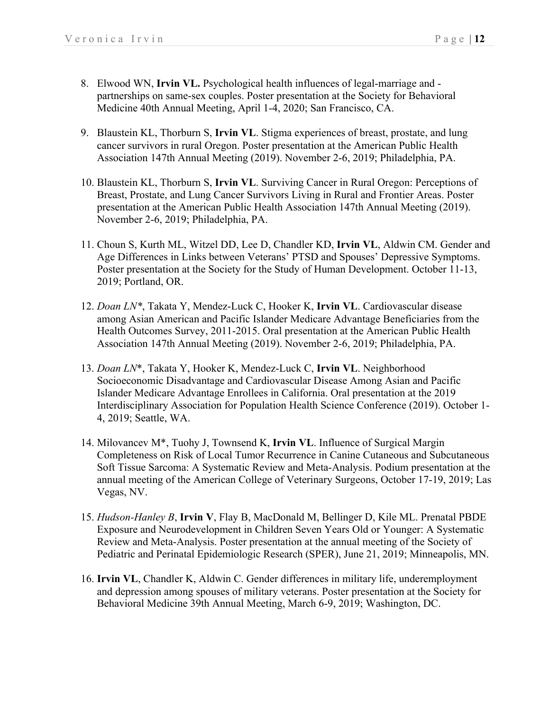- 8. Elwood WN, **Irvin VL.** Psychological health influences of legal-marriage and partnerships on same-sex couples. Poster presentation at the Society for Behavioral Medicine 40th Annual Meeting, April 1-4, 2020; San Francisco, CA.
- 9. Blaustein KL, Thorburn S, **Irvin VL**. Stigma experiences of breast, prostate, and lung cancer survivors in rural Oregon. Poster presentation at the American Public Health Association 147th Annual Meeting (2019). November 2-6, 2019; Philadelphia, PA.
- 10. Blaustein KL, Thorburn S, **Irvin VL**. Surviving Cancer in Rural Oregon: Perceptions of Breast, Prostate, and Lung Cancer Survivors Living in Rural and Frontier Areas. Poster presentation at the American Public Health Association 147th Annual Meeting (2019). November 2-6, 2019; Philadelphia, PA.
- 11. Choun S, Kurth ML, Witzel DD, Lee D, Chandler KD, **Irvin VL**, Aldwin CM. Gender and Age Differences in Links between Veterans' PTSD and Spouses' Depressive Symptoms. Poster presentation at the Society for the Study of Human Development. October 11-13, 2019; Portland, OR.
- 12. *Doan LN\**, Takata Y, Mendez-Luck C, Hooker K, **Irvin VL**. Cardiovascular disease among Asian American and Pacific Islander Medicare Advantage Beneficiaries from the Health Outcomes Survey, 2011-2015. Oral presentation at the American Public Health Association 147th Annual Meeting (2019). November 2-6, 2019; Philadelphia, PA.
- 13. *Doan LN*\*, Takata Y, Hooker K, Mendez-Luck C, **Irvin VL**. Neighborhood Socioeconomic Disadvantage and Cardiovascular Disease Among Asian and Pacific Islander Medicare Advantage Enrollees in California. Oral presentation at the 2019 Interdisciplinary Association for Population Health Science Conference (2019). October 1- 4, 2019; Seattle, WA.
- 14. Milovancev M\*, Tuohy J, Townsend K, **Irvin VL**. Influence of Surgical Margin Completeness on Risk of Local Tumor Recurrence in Canine Cutaneous and Subcutaneous Soft Tissue Sarcoma: A Systematic Review and Meta-Analysis. Podium presentation at the annual meeting of the American College of Veterinary Surgeons, October 17-19, 2019; Las Vegas, NV.
- 15. *Hudson-Hanley B*, **Irvin V**, Flay B, MacDonald M, Bellinger D, Kile ML. Prenatal PBDE Exposure and Neurodevelopment in Children Seven Years Old or Younger: A Systematic Review and Meta-Analysis. Poster presentation at the annual meeting of the Society of Pediatric and Perinatal Epidemiologic Research (SPER), June 21, 2019; Minneapolis, MN.
- 16. **Irvin VL**, Chandler K, Aldwin C. Gender differences in military life, underemployment and depression among spouses of military veterans. Poster presentation at the Society for Behavioral Medicine 39th Annual Meeting, March 6-9, 2019; Washington, DC.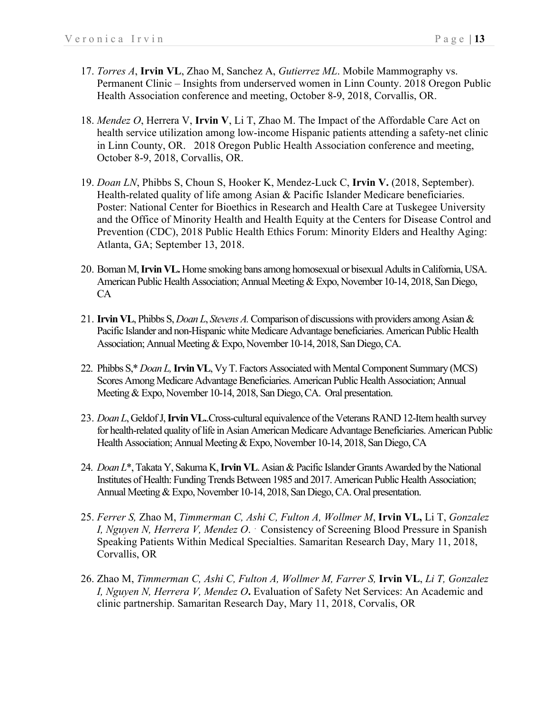- 17. *Torres A*, **Irvin VL**, Zhao M, Sanchez A, *Gutierrez ML*. Mobile Mammography vs. Permanent Clinic – Insights from underserved women in Linn County. 2018 Oregon Public Health Association conference and meeting, October 8-9, 2018, Corvallis, OR.
- 18. *Mendez O*, Herrera V, **Irvin V**, Li T, Zhao M. The Impact of the Affordable Care Act on health service utilization among low-income Hispanic patients attending a safety-net clinic in Linn County, OR. 2018 Oregon Public Health Association conference and meeting, October 8-9, 2018, Corvallis, OR.
- 19. *Doan LN*, Phibbs S, Choun S, Hooker K, Mendez-Luck C, **Irvin V.** (2018, September). Health-related quality of life among Asian & Pacific Islander Medicare beneficiaries. Poster: National Center for Bioethics in Research and Health Care at Tuskegee University and the Office of Minority Health and Health Equity at the Centers for Disease Control and Prevention (CDC), 2018 Public Health Ethics Forum: Minority Elders and Healthy Aging: Atlanta, GA; September 13, 2018.
- 20. Boman M, **Irvin VL.** Home smoking bans among homosexual or bisexual Adults in California, USA. American Public Health Association; Annual Meeting & Expo, November 10-14, 2018, San Diego, CA
- 21. **Irvin VL**, Phibbs S, *Doan L*, *Stevens A.*Comparison of discussions with providers among Asian & Pacific Islander and non-Hispanic white Medicare Advantage beneficiaries. American Public Health Association; Annual Meeting & Expo, November 10-14, 2018, San Diego, CA.
- 22. Phibbs S,\* *Doan L,***Irvin VL**, Vy T. Factors Associated with Mental Component Summary (MCS) Scores Among Medicare Advantage Beneficiaries. American Public Health Association; Annual Meeting & Expo, November 10-14, 2018, San Diego, CA. Oral presentation.
- 23. *Doan L*, Geldof J, **Irvin VL.**.Cross-cultural equivalence of the Veterans RAND 12-Item health survey for health-related quality of life in Asian American Medicare Advantage Beneficiaries. American Public Health Association; Annual Meeting& Expo, November 10-14, 2018, San Diego, CA
- 24. *Doan L*\*, Takata Y, Sakuma K, **Irvin VL**. Asian & Pacific Islander Grants Awarded by the National Institutes of Health: Funding Trends Between 1985 and 2017. American Public Health Association; Annual Meeting & Expo, November 10-14, 2018, San Diego, CA. Oral presentation.
- 25. *Ferrer S,* Zhao M, *Timmerman C, Ashi C, Fulton A, Wollmer M*, **Irvin VL,** Li T, *Gonzalez I, Nguyen N, Herrera V, Mendez O*. . Consistency of Screening Blood Pressure in Spanish Speaking Patients Within Medical Specialties. Samaritan Research Day, Mary 11, 2018, Corvallis, OR
- 26. Zhao M, *Timmerman C, Ashi C, Fulton A, Wollmer M, Farrer S,* **Irvin VL**, *Li T, Gonzalez I, Nguyen N, Herrera V, Mendez O***.** Evaluation of Safety Net Services: An Academic and clinic partnership. Samaritan Research Day, Mary 11, 2018, Corvalis, OR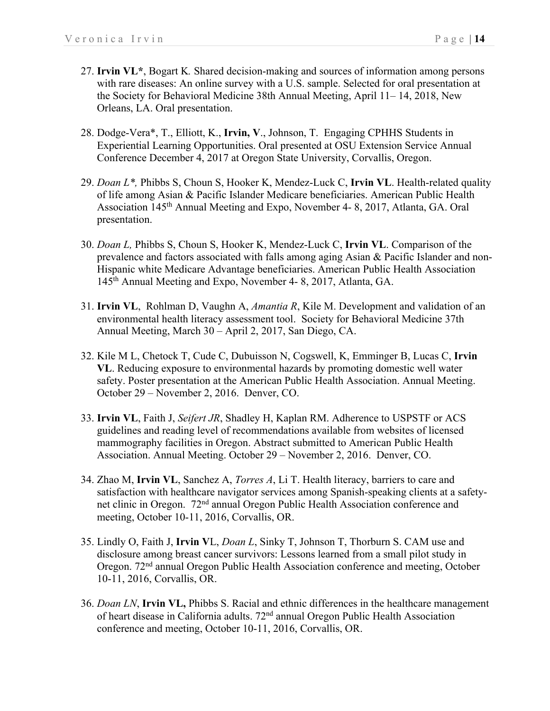- 27. **Irvin VL\***, Bogart K*.* Shared decision-making and sources of information among persons with rare diseases: An online survey with a U.S. sample. Selected for oral presentation at the Society for Behavioral Medicine 38th Annual Meeting, April 11– 14, 2018, New Orleans, LA. Oral presentation.
- 28. Dodge-Vera\*, T., Elliott, K., **Irvin, V**., Johnson, T. Engaging CPHHS Students in Experiential Learning Opportunities. Oral presented at OSU Extension Service Annual Conference December 4, 2017 at Oregon State University, Corvallis, Oregon.
- 29. *Doan L\*,* Phibbs S, Choun S, Hooker K, Mendez-Luck C, **Irvin VL**. Health-related quality of life among Asian & Pacific Islander Medicare beneficiaries. American Public Health Association 145th Annual Meeting and Expo, November 4- 8, 2017, Atlanta, GA. Oral presentation.
- 30. *Doan L,* Phibbs S, Choun S, Hooker K, Mendez-Luck C, **Irvin VL**. Comparison of the prevalence and factors associated with falls among aging Asian & Pacific Islander and non-Hispanic white Medicare Advantage beneficiaries. American Public Health Association 145th Annual Meeting and Expo, November 4- 8, 2017, Atlanta, GA.
- 31. **Irvin VL**, Rohlman D, Vaughn A, *Amantia R*, Kile M. Development and validation of an environmental health literacy assessment tool. Society for Behavioral Medicine 37th Annual Meeting, March 30 – April 2, 2017, San Diego, CA.
- 32. Kile M L, Chetock T, Cude C, Dubuisson N, Cogswell, K, Emminger B, Lucas C, **Irvin VL**. Reducing exposure to environmental hazards by promoting domestic well water safety. Poster presentation at the American Public Health Association. Annual Meeting. October 29 – November 2, 2016. Denver, CO.
- 33. **Irvin VL**, Faith J, *Seifert JR*, Shadley H, Kaplan RM. Adherence to USPSTF or ACS guidelines and reading level of recommendations available from websites of licensed mammography facilities in Oregon. Abstract submitted to American Public Health Association. Annual Meeting. October 29 – November 2, 2016. Denver, CO.
- 34. Zhao M, **Irvin VL**, Sanchez A, *Torres A*, Li T. Health literacy, barriers to care and satisfaction with healthcare navigator services among Spanish-speaking clients at a safetynet clinic in Oregon. 72nd annual Oregon Public Health Association conference and meeting, October 10-11, 2016, Corvallis, OR.
- 35. Lindly O, Faith J, **Irvin V**L, *Doan L*, Sinky T, Johnson T, Thorburn S. CAM use and disclosure among breast cancer survivors: Lessons learned from a small pilot study in Oregon. 72nd annual Oregon Public Health Association conference and meeting, October 10-11, 2016, Corvallis, OR.
- 36. *Doan LN*, **Irvin VL,** Phibbs S. Racial and ethnic differences in the healthcare management of heart disease in California adults. 72<sup>nd</sup> annual Oregon Public Health Association conference and meeting, October 10-11, 2016, Corvallis, OR.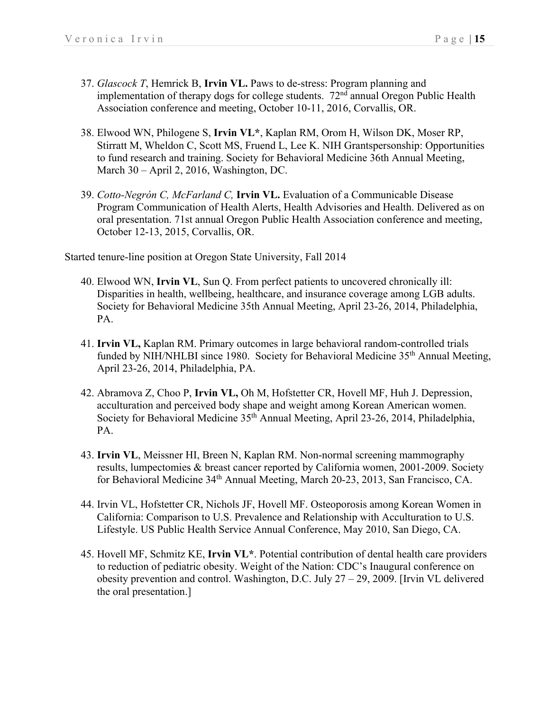- 37. *Glascock T*, Hemrick B, **Irvin VL.** Paws to de-stress: Program planning and implementation of therapy dogs for college students.  $72<sup>nd</sup>$  annual Oregon Public Health Association conference and meeting, October 10-11, 2016, Corvallis, OR.
- 38. Elwood WN, Philogene S, **Irvin VL\***, Kaplan RM, Orom H, Wilson DK, Moser RP, Stirratt M, Wheldon C, Scott MS, Fruend L, Lee K. NIH Grantspersonship: Opportunities to fund research and training. Society for Behavioral Medicine 36th Annual Meeting, March 30 – April 2, 2016, Washington, DC.
- 39. *Cotto-Negrón C, McFarland C,* **Irvin VL.** Evaluation of a Communicable Disease Program Communication of Health Alerts, Health Advisories and Health. Delivered as on oral presentation. 71st annual Oregon Public Health Association conference and meeting, October 12-13, 2015, Corvallis, OR.

Started tenure-line position at Oregon State University, Fall 2014

- 40. Elwood WN, **Irvin VL**, Sun Q. From perfect patients to uncovered chronically ill: Disparities in health, wellbeing, healthcare, and insurance coverage among LGB adults. Society for Behavioral Medicine 35th Annual Meeting, April 23-26, 2014, Philadelphia, PA.
- 41. **Irvin VL,** Kaplan RM. Primary outcomes in large behavioral random-controlled trials funded by NIH/NHLBI since 1980. Society for Behavioral Medicine 35<sup>th</sup> Annual Meeting, April 23-26, 2014, Philadelphia, PA.
- 42. Abramova Z, Choo P, **Irvin VL,** Oh M, Hofstetter CR, Hovell MF, Huh J. Depression, acculturation and perceived body shape and weight among Korean American women. Society for Behavioral Medicine 35th Annual Meeting, April 23-26, 2014, Philadelphia, PA.
- 43. **Irvin VL**, Meissner HI, Breen N, Kaplan RM. Non-normal screening mammography results, lumpectomies & breast cancer reported by California women, 2001-2009. Society for Behavioral Medicine 34th Annual Meeting, March 20-23, 2013, San Francisco, CA.
- 44. Irvin VL, Hofstetter CR, Nichols JF, Hovell MF. Osteoporosis among Korean Women in California: Comparison to U.S. Prevalence and Relationship with Acculturation to U.S. Lifestyle. US Public Health Service Annual Conference, May 2010, San Diego, CA.
- 45. Hovell MF, Schmitz KE, **Irvin VL\***. Potential contribution of dental health care providers to reduction of pediatric obesity. Weight of the Nation: CDC's Inaugural conference on obesity prevention and control. Washington, D.C. July 27 – 29, 2009. [Irvin VL delivered the oral presentation.]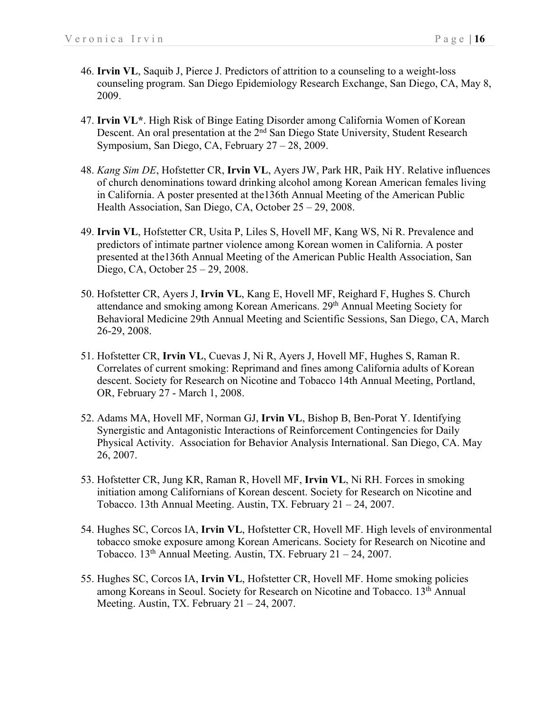- 46. **Irvin VL**, Saquib J, Pierce J. Predictors of attrition to a counseling to a weight-loss counseling program. San Diego Epidemiology Research Exchange, San Diego, CA, May 8, 2009.
- 47. **Irvin VL\***. High Risk of Binge Eating Disorder among California Women of Korean Descent. An oral presentation at the 2<sup>nd</sup> San Diego State University, Student Research Symposium, San Diego, CA, February 27 – 28, 2009.
- 48. *Kang Sim DE*, Hofstetter CR, **Irvin VL**, Ayers JW, Park HR, Paik HY. Relative influences of church denominations toward drinking alcohol among Korean American females living in California. A poster presented at the136th Annual Meeting of the American Public Health Association, San Diego, CA, October 25 – 29, 2008.
- 49. **Irvin VL**, Hofstetter CR, Usita P, Liles S, Hovell MF, Kang WS, Ni R. Prevalence and predictors of intimate partner violence among Korean women in California. A poster presented at the136th Annual Meeting of the American Public Health Association, San Diego, CA, October 25 – 29, 2008.
- 50. Hofstetter CR, Ayers J, **Irvin VL**, Kang E, Hovell MF, Reighard F, Hughes S. Church attendance and smoking among Korean Americans. 29<sup>th</sup> Annual Meeting Society for Behavioral Medicine 29th Annual Meeting and Scientific Sessions, San Diego, CA, March 26-29, 2008.
- 51. Hofstetter CR, **Irvin VL**, Cuevas J, Ni R, Ayers J, Hovell MF, Hughes S, Raman R. Correlates of current smoking: Reprimand and fines among California adults of Korean descent. Society for Research on Nicotine and Tobacco 14th Annual Meeting, Portland, OR, February 27 - March 1, 2008.
- 52. Adams MA, Hovell MF, Norman GJ, **Irvin VL**, Bishop B, Ben-Porat Y. Identifying Synergistic and Antagonistic Interactions of Reinforcement Contingencies for Daily Physical Activity. Association for Behavior Analysis International. San Diego, CA. May 26, 2007.
- 53. Hofstetter CR, Jung KR, Raman R, Hovell MF, **Irvin VL**, Ni RH. Forces in smoking initiation among Californians of Korean descent. Society for Research on Nicotine and Tobacco. 13th Annual Meeting. Austin, TX. February 21 – 24, 2007.
- 54. Hughes SC, Corcos IA, **Irvin VL**, Hofstetter CR, Hovell MF. High levels of environmental tobacco smoke exposure among Korean Americans. Society for Research on Nicotine and Tobacco. 13th Annual Meeting. Austin, TX. February 21 – 24, 2007.
- 55. Hughes SC, Corcos IA, **Irvin VL**, Hofstetter CR, Hovell MF. Home smoking policies among Koreans in Seoul. Society for Research on Nicotine and Tobacco. 13<sup>th</sup> Annual Meeting. Austin, TX. February  $21 - 24$ , 2007.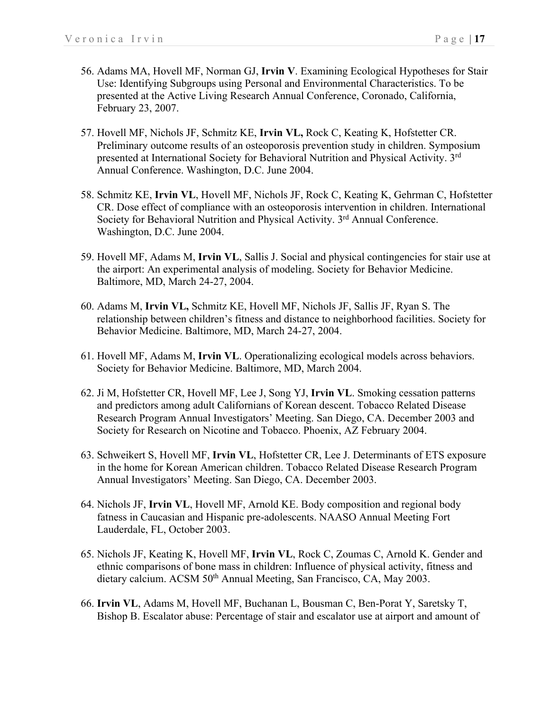- 56. Adams MA, Hovell MF, Norman GJ, **Irvin V**. Examining Ecological Hypotheses for Stair Use: Identifying Subgroups using Personal and Environmental Characteristics. To be presented at the Active Living Research Annual Conference, Coronado, California, February 23, 2007.
- 57. Hovell MF, Nichols JF, Schmitz KE, **Irvin VL,** Rock C, Keating K, Hofstetter CR. Preliminary outcome results of an osteoporosis prevention study in children. Symposium presented at International Society for Behavioral Nutrition and Physical Activity. 3<sup>rd</sup> Annual Conference. Washington, D.C. June 2004.
- 58. Schmitz KE, **Irvin VL**, Hovell MF, Nichols JF, Rock C, Keating K, Gehrman C, Hofstetter CR. Dose effect of compliance with an osteoporosis intervention in children. International Society for Behavioral Nutrition and Physical Activity. 3<sup>rd</sup> Annual Conference. Washington, D.C. June 2004.
- 59. Hovell MF, Adams M, **Irvin VL**, Sallis J. Social and physical contingencies for stair use at the airport: An experimental analysis of modeling. Society for Behavior Medicine. Baltimore, MD, March 24-27, 2004.
- 60. Adams M, **Irvin VL,** Schmitz KE, Hovell MF, Nichols JF, Sallis JF, Ryan S. The relationship between children's fitness and distance to neighborhood facilities. Society for Behavior Medicine. Baltimore, MD, March 24-27, 2004.
- 61. Hovell MF, Adams M, **Irvin VL**. Operationalizing ecological models across behaviors. Society for Behavior Medicine. Baltimore, MD, March 2004.
- 62. Ji M, Hofstetter CR, Hovell MF, Lee J, Song YJ, **Irvin VL**. Smoking cessation patterns and predictors among adult Californians of Korean descent. Tobacco Related Disease Research Program Annual Investigators' Meeting. San Diego, CA. December 2003 and Society for Research on Nicotine and Tobacco. Phoenix, AZ February 2004.
- 63. Schweikert S, Hovell MF, **Irvin VL**, Hofstetter CR, Lee J. Determinants of ETS exposure in the home for Korean American children. Tobacco Related Disease Research Program Annual Investigators' Meeting. San Diego, CA. December 2003.
- 64. Nichols JF, **Irvin VL**, Hovell MF, Arnold KE. Body composition and regional body fatness in Caucasian and Hispanic pre-adolescents. NAASO Annual Meeting Fort Lauderdale, FL, October 2003.
- 65. Nichols JF, Keating K, Hovell MF, **Irvin VL**, Rock C, Zoumas C, Arnold K. Gender and ethnic comparisons of bone mass in children: Influence of physical activity, fitness and dietary calcium. ACSM 50<sup>th</sup> Annual Meeting, San Francisco, CA, May 2003.
- 66. **Irvin VL**, Adams M, Hovell MF, Buchanan L, Bousman C, Ben-Porat Y, Saretsky T, Bishop B. Escalator abuse: Percentage of stair and escalator use at airport and amount of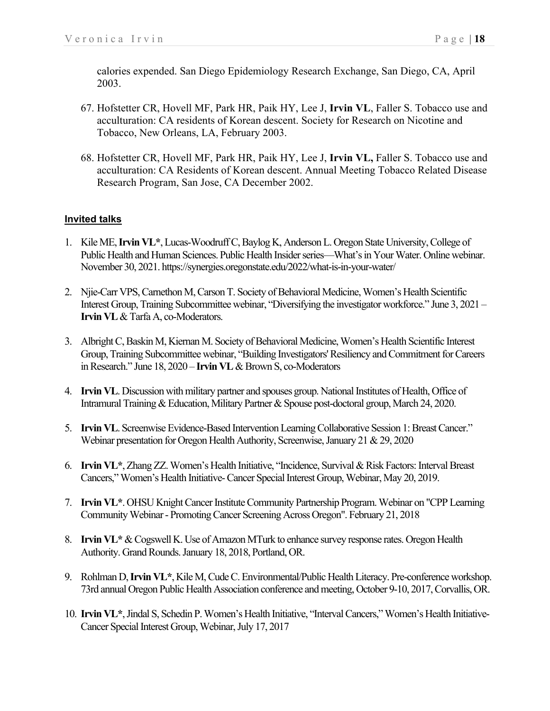calories expended. San Diego Epidemiology Research Exchange, San Diego, CA, April 2003.

- 67. Hofstetter CR, Hovell MF, Park HR, Paik HY, Lee J, **Irvin VL**, Faller S. Tobacco use and acculturation: CA residents of Korean descent. Society for Research on Nicotine and Tobacco, New Orleans, LA, February 2003.
- 68. Hofstetter CR, Hovell MF, Park HR, Paik HY, Lee J, **Irvin VL,** Faller S. Tobacco use and acculturation: CA Residents of Korean descent. Annual Meeting Tobacco Related Disease Research Program, San Jose, CA December 2002.

### **Invited talks**

- 1. Kile ME, **Irvin VL\***, Lucas-Woodruff C, Baylog K, Anderson L. Oregon State University, College of Public Health and Human Sciences. Public Health Insider series—What's in Your Water. Online webinar. November 30, 2021. https://synergies.oregonstate.edu/2022/what-is-in-your-water/
- 2. Njie-Carr VPS, Carnethon M, Carson T. Society of Behavioral Medicine, Women's Health Scientific Interest Group, Training Subcommittee webinar, "Diversifying the investigator workforce." June 3, 2021 – **Irvin VL** & Tarfa A, co-Moderators.
- 3. Albright C, Baskin M, Kiernan M. Society of Behavioral Medicine, Women's Health Scientific Interest Group, Training Subcommittee webinar, "Building Investigators' Resiliency and Commitment for Careers in Research." June 18, 2020 – **Irvin VL**& Brown S, co-Moderators
- 4. **Irvin VL**. Discussion with military partner and spouses group. National Institutes of Health, Office of Intramural Training & Education, Military Partner & Spouse post-doctoral group, March 24, 2020.
- 5. **Irvin VL**. Screenwise Evidence-Based Intervention Learning Collaborative Session 1: Breast Cancer." Webinar presentation for Oregon Health Authority, Screenwise, January 21 & 29, 2020
- 6. **Irvin VL\***, Zhang ZZ. Women's Health Initiative, "Incidence, Survival & Risk Factors: Interval Breast Cancers," Women's Health Initiative-Cancer Special Interest Group, Webinar, May 20, 2019.
- 7. **Irvin VL\***. OHSU Knight Cancer Institute Community Partnership Program. Webinar on "CPP Learning Community Webinar - Promoting Cancer Screening Across Oregon". February 21, 2018
- 8. **Irvin VL\***& Cogswell K. Use of Amazon MTurk to enhance survey response rates. Oregon Health Authority. Grand Rounds. January 18, 2018, Portland, OR.
- 9. Rohlman D, **Irvin VL\***, Kile M, Cude C. Environmental/Public Health Literacy. Pre-conference workshop. 73rd annual Oregon Public Health Association conference and meeting, October 9-10, 2017, Corvallis, OR.
- 10. **Irvin VL**\*, Jindal S, Schedin P. Women's Health Initiative, "Interval Cancers," Women's Health Initiative-Cancer Special Interest Group, Webinar, July 17, 2017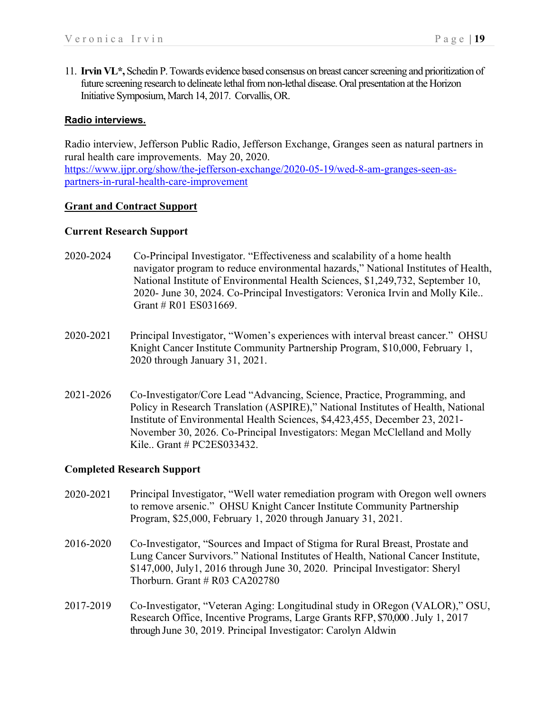11. **Irvin VL\*,** Schedin P.Towards evidence based consensus on breast cancer screening and prioritization of future screening research to delineate lethal from non-lethal disease. Oral presentation at the Horizon Initiative Symposium, March 14, 2017. Corvallis, OR.

#### **Radio interviews.**

Radio interview, Jefferson Public Radio, Jefferson Exchange, Granges seen as natural partners in rural health care improvements. May 20, 2020. https://www.ijpr.org/show/the-jefferson-exchange/2020-05-19/wed-8-am-granges-seen-aspartners-in-rural-health-care-improvement

#### **Grant and Contract Support**

#### **Current Research Support**

- 2020-2024 Co-Principal Investigator. "Effectiveness and scalability of a home health navigator program to reduce environmental hazards," National Institutes of Health, National Institute of Environmental Health Sciences, \$1,249,732, September 10, 2020- June 30, 2024. Co-Principal Investigators: Veronica Irvin and Molly Kile.. Grant # R01 ES031669.
- 2020-2021 Principal Investigator, "Women's experiences with interval breast cancer." OHSU Knight Cancer Institute Community Partnership Program, \$10,000, February 1, 2020 through January 31, 2021.
- 2021-2026 Co-Investigator/Core Lead "Advancing, Science, Practice, Programming, and Policy in Research Translation (ASPIRE)," National Institutes of Health, National Institute of Environmental Health Sciences, \$4,423,455, December 23, 2021- November 30, 2026. Co-Principal Investigators: Megan McClelland and Molly Kile.. Grant # PC2ES033432.

### **Completed Research Support**

- 2020-2021 Principal Investigator, "Well water remediation program with Oregon well owners to remove arsenic." OHSU Knight Cancer Institute Community Partnership Program, \$25,000, February 1, 2020 through January 31, 2021.
- 2016-2020 Co-Investigator, "Sources and Impact of Stigma for Rural Breast, Prostate and Lung Cancer Survivors." National Institutes of Health, National Cancer Institute, \$147,000, July1, 2016 through June 30, 2020. Principal Investigator: Sheryl Thorburn. Grant  $#$  R03 CA202780
- 2017-2019 Co-Investigator, "Veteran Aging: Longitudinal study in ORegon (VALOR)," OSU, Research Office, Incentive Programs, Large Grants RFP, \$70,000 . July 1, 2017 through June 30, 2019. Principal Investigator: Carolyn Aldwin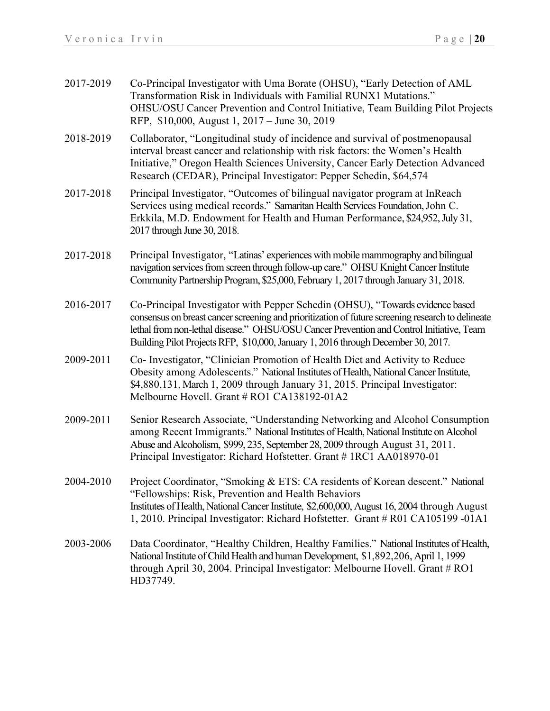- 2017-2019 Co-Principal Investigator with Uma Borate (OHSU), "Early Detection of AML Transformation Risk in Individuals with Familial RUNX1 Mutations." OHSU/OSU Cancer Prevention and Control Initiative, Team Building Pilot Projects RFP, \$10,000, August 1, 2017 – June 30, 2019
- 2018-2019 Collaborator, "Longitudinal study of incidence and survival of postmenopausal interval breast cancer and relationship with risk factors: the Women's Health Initiative," Oregon Health Sciences University, Cancer Early Detection Advanced Research (CEDAR), Principal Investigator: Pepper Schedin, \$64,574
- 2017-2018 Principal Investigator, "Outcomes of bilingual navigator program at InReach Services using medical records." Samaritan Health Services Foundation, John C. Erkkila, M.D. Endowment for Health and Human Performance, \$24,952, July 31, 2017 through June 30, 2018.
- 2017-2018 Principal Investigator, "Latinas' experiences with mobile mammography and bilingual navigation services from screen through follow-up care." OHSU Knight Cancer Institute Community Partnership Program, \$25,000, February 1, 2017 through January 31, 2018.
- 2016-2017 Co-Principal Investigator with Pepper Schedin (OHSU), "Towards evidence based consensus on breast cancer screening and prioritization of future screening research to delineate lethal from non-lethal disease." OHSU/OSU Cancer Prevention and Control Initiative, Team Building Pilot ProjectsRFP, \$10,000, January 1, 2016 through December 30, 2017.
- 2009-2011 Co- Investigator, "Clinician Promotion of Health Diet and Activity to Reduce Obesity among Adolescents." National Institutes of Health, National Cancer Institute, \$4,880,131, March 1, 2009 through January 31, 2015. Principal Investigator: Melbourne Hovell. Grant # RO1 CA138192-01A2
- 2009-2011 Senior Research Associate, "Understanding Networking and Alcohol Consumption among Recent Immigrants." National Institutes of Health, National Institute on Alcohol Abuse and Alcoholism, \$999, 235, September 28, 2009 through August 31, 2011. Principal Investigator: Richard Hofstetter. Grant # 1RC1 AA018970-01
- 2004-2010 Project Coordinator, "Smoking & ETS: CA residents of Korean descent." National "Fellowships: Risk, Prevention and Health Behaviors Institutes of Health, National Cancer Institute, \$2,600,000, August 16, 2004 through August 1, 2010. Principal Investigator: Richard Hofstetter. Grant # R01 CA105199 -01A1
- 2003-2006 Data Coordinator, "Healthy Children, Healthy Families." National Institutes of Health, National Institute of Child Health and human Development, \$1,892,206, April 1, 1999 through April 30, 2004. Principal Investigator: Melbourne Hovell. Grant # RO1 HD37749.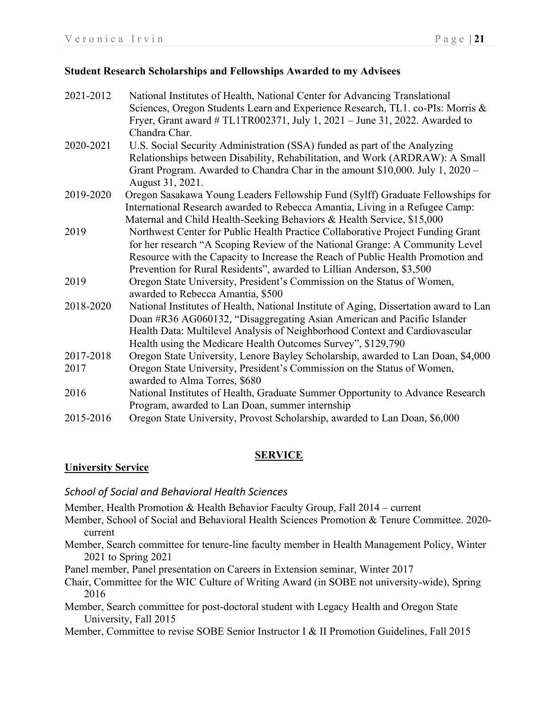### **Student Research Scholarships and Fellowships Awarded to my Advisees**

| 2021-2012 | National Institutes of Health, National Center for Advancing Translational            |
|-----------|---------------------------------------------------------------------------------------|
|           | Sciences, Oregon Students Learn and Experience Research, TL1. co-PIs: Morris &        |
|           | Fryer, Grant award # TL1TR002371, July 1, 2021 - June 31, 2022. Awarded to            |
|           | Chandra Char.                                                                         |
| 2020-2021 | U.S. Social Security Administration (SSA) funded as part of the Analyzing             |
|           | Relationships between Disability, Rehabilitation, and Work (ARDRAW): A Small          |
|           | Grant Program. Awarded to Chandra Char in the amount \$10,000. July 1, 2020 –         |
|           | August 31, 2021.                                                                      |
| 2019-2020 | Oregon Sasakawa Young Leaders Fellowship Fund (Sylff) Graduate Fellowships for        |
|           | International Research awarded to Rebecca Amantia, Living in a Refugee Camp:          |
|           | Maternal and Child Health-Seeking Behaviors & Health Service, \$15,000                |
| 2019      | Northwest Center for Public Health Practice Collaborative Project Funding Grant       |
|           | for her research "A Scoping Review of the National Grange: A Community Level          |
|           | Resource with the Capacity to Increase the Reach of Public Health Promotion and       |
|           | Prevention for Rural Residents", awarded to Lillian Anderson, \$3,500                 |
| 2019      | Oregon State University, President's Commission on the Status of Women,               |
|           | awarded to Rebecca Amantia, \$500                                                     |
| 2018-2020 | National Institutes of Health, National Institute of Aging, Dissertation award to Lan |
|           | Doan #R36 AG060132, "Disaggregating Asian American and Pacific Islander               |
|           | Health Data: Multilevel Analysis of Neighborhood Context and Cardiovascular           |
|           | Health using the Medicare Health Outcomes Survey", \$129,790                          |
| 2017-2018 | Oregon State University, Lenore Bayley Scholarship, awarded to Lan Doan, \$4,000      |
| 2017      | Oregon State University, President's Commission on the Status of Women,               |
|           | awarded to Alma Torres, \$680                                                         |
| 2016      | National Institutes of Health, Graduate Summer Opportunity to Advance Research        |
|           | Program, awarded to Lan Doan, summer internship                                       |
| 2015-2016 | Oregon State University, Provost Scholarship, awarded to Lan Doan, \$6,000            |
|           |                                                                                       |

# **SERVICE**

# **University Service**

# *School of Social and Behavioral Health Sciences*

Member, Health Promotion & Health Behavior Faculty Group, Fall 2014 – current

- Member, School of Social and Behavioral Health Sciences Promotion & Tenure Committee. 2020 current
- Member, Search committee for tenure-line faculty member in Health Management Policy, Winter 2021 to Spring 2021
- Panel member, Panel presentation on Careers in Extension seminar, Winter 2017
- Chair, Committee for the WIC Culture of Writing Award (in SOBE not university-wide), Spring 2016
- Member, Search committee for post-doctoral student with Legacy Health and Oregon State University, Fall 2015
- Member, Committee to revise SOBE Senior Instructor I & II Promotion Guidelines, Fall 2015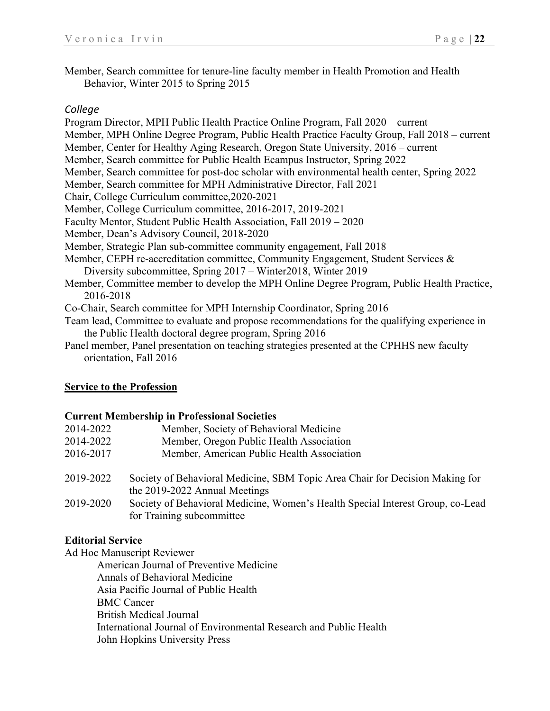Member, Search committee for tenure-line faculty member in Health Promotion and Health Behavior, Winter 2015 to Spring 2015

## *College*

Program Director, MPH Public Health Practice Online Program, Fall 2020 – current Member, MPH Online Degree Program, Public Health Practice Faculty Group, Fall 2018 – current Member, Center for Healthy Aging Research, Oregon State University, 2016 – current Member, Search committee for Public Health Ecampus Instructor, Spring 2022 Member, Search committee for post-doc scholar with environmental health center, Spring 2022 Member, Search committee for MPH Administrative Director, Fall 2021 Chair, College Curriculum committee,2020-2021 Member, College Curriculum committee, 2016-2017, 2019-2021 Faculty Mentor, Student Public Health Association, Fall 2019 – 2020 Member, Dean's Advisory Council, 2018-2020 Member, Strategic Plan sub-committee community engagement, Fall 2018 Member, CEPH re-accreditation committee, Community Engagement, Student Services & Diversity subcommittee, Spring 2017 – Winter2018, Winter 2019 Member, Committee member to develop the MPH Online Degree Program, Public Health Practice, 2016-2018 Co-Chair, Search committee for MPH Internship Coordinator, Spring 2016 Team lead, Committee to evaluate and propose recommendations for the qualifying experience in the Public Health doctoral degree program, Spring 2016

Panel member, Panel presentation on teaching strategies presented at the CPHHS new faculty orientation, Fall 2016

# **Service to the Profession**

### **Current Membership in Professional Societies**

| 2014-2022 | Member, Society of Behavioral Medicine                                                                        |
|-----------|---------------------------------------------------------------------------------------------------------------|
| 2014-2022 | Member, Oregon Public Health Association                                                                      |
| 2016-2017 | Member, American Public Health Association                                                                    |
| 2019-2022 | Society of Behavioral Medicine, SBM Topic Area Chair for Decision Making for<br>the 2019-2022 Annual Meetings |
| 2019-2020 | Society of Behavioral Medicine, Women's Health Special Interest Group, co-Lead<br>for Training subcommittee   |

# **Editorial Service**

Ad Hoc Manuscript Reviewer

American Journal of Preventive Medicine Annals of Behavioral Medicine Asia Pacific Journal of Public Health BMC Cancer British Medical Journal International Journal of Environmental Research and Public Health John Hopkins University Press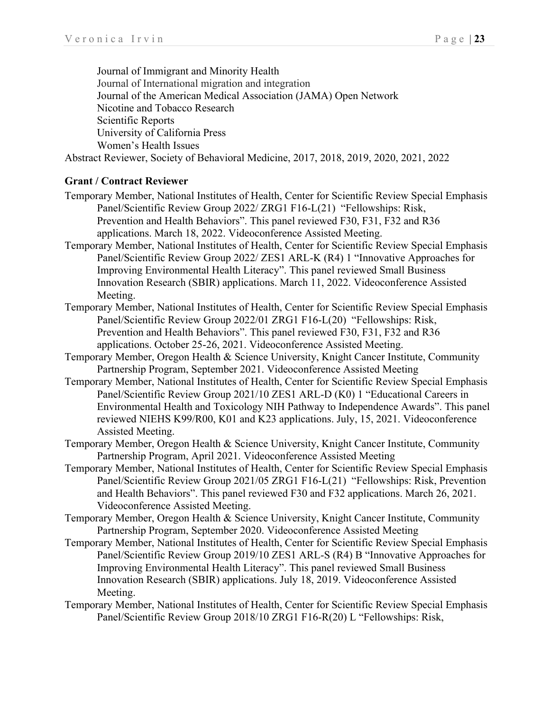Journal of Immigrant and Minority Health Journal of International migration and integration Journal of the American Medical Association (JAMA) Open Network Nicotine and Tobacco Research Scientific Reports University of California Press Women's Health Issues Abstract Reviewer, Society of Behavioral Medicine, 2017, 2018, 2019, 2020, 2021, 2022

### **Grant / Contract Reviewer**

- Temporary Member, National Institutes of Health, Center for Scientific Review Special Emphasis Panel/Scientific Review Group 2022/ ZRG1 F16-L(21) "Fellowships: Risk, Prevention and Health Behaviors". This panel reviewed F30, F31, F32 and R36 applications. March 18, 2022. Videoconference Assisted Meeting.
- Temporary Member, National Institutes of Health, Center for Scientific Review Special Emphasis Panel/Scientific Review Group 2022/ ZES1 ARL-K (R4) 1 "Innovative Approaches for Improving Environmental Health Literacy". This panel reviewed Small Business Innovation Research (SBIR) applications. March 11, 2022. Videoconference Assisted Meeting.
- Temporary Member, National Institutes of Health, Center for Scientific Review Special Emphasis Panel/Scientific Review Group 2022/01 ZRG1 F16-L(20) "Fellowships: Risk, Prevention and Health Behaviors". This panel reviewed F30, F31, F32 and R36 applications. October 25-26, 2021. Videoconference Assisted Meeting.
- Temporary Member, Oregon Health & Science University, Knight Cancer Institute, Community Partnership Program, September 2021. Videoconference Assisted Meeting
- Temporary Member, National Institutes of Health, Center for Scientific Review Special Emphasis Panel/Scientific Review Group 2021/10 ZES1 ARL-D (K0) 1 "Educational Careers in Environmental Health and Toxicology NIH Pathway to Independence Awards". This panel reviewed NIEHS K99/R00, K01 and K23 applications. July, 15, 2021. Videoconference Assisted Meeting.
- Temporary Member, Oregon Health & Science University, Knight Cancer Institute, Community Partnership Program, April 2021. Videoconference Assisted Meeting
- Temporary Member, National Institutes of Health, Center for Scientific Review Special Emphasis Panel/Scientific Review Group 2021/05 ZRG1 F16-L(21) "Fellowships: Risk, Prevention and Health Behaviors". This panel reviewed F30 and F32 applications. March 26, 2021. Videoconference Assisted Meeting.
- Temporary Member, Oregon Health & Science University, Knight Cancer Institute, Community Partnership Program, September 2020. Videoconference Assisted Meeting
- Temporary Member, National Institutes of Health, Center for Scientific Review Special Emphasis Panel/Scientific Review Group 2019/10 ZES1 ARL-S (R4) B "Innovative Approaches for Improving Environmental Health Literacy". This panel reviewed Small Business Innovation Research (SBIR) applications. July 18, 2019. Videoconference Assisted Meeting.
- Temporary Member, National Institutes of Health, Center for Scientific Review Special Emphasis Panel/Scientific Review Group 2018/10 ZRG1 F16-R(20) L "Fellowships: Risk,